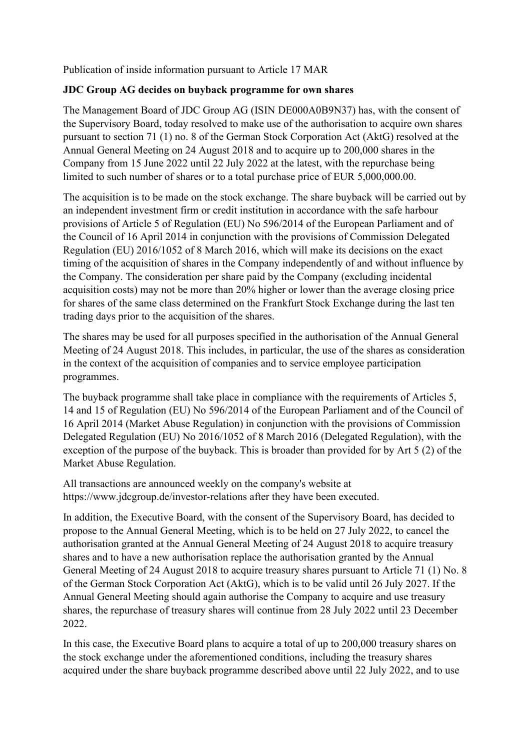Publication of inside information pursuant to Article 17 MAR

## **JDC Group AG decides on buyback programme for own shares**

The Management Board of JDC Group AG (ISIN DE000A0B9N37) has, with the consent of the Supervisory Board, today resolved to make use of the authorisation to acquire own shares pursuant to section 71 (1) no. 8 of the German Stock Corporation Act (AktG) resolved at the Annual General Meeting on 24 August 2018 and to acquire up to 200,000 shares in the Company from 15 June 2022 until 22 July 2022 at the latest, with the repurchase being limited to such number of shares or to a total purchase price of EUR 5,000,000.00.

The acquisition is to be made on the stock exchange. The share buyback will be carried out by an independent investment firm or credit institution in accordance with the safe harbour provisions of Article 5 of Regulation (EU) No 596/2014 of the European Parliament and of the Council of 16 April 2014 in conjunction with the provisions of Commission Delegated Regulation (EU) 2016/1052 of 8 March 2016, which will make its decisions on the exact timing of the acquisition of shares in the Company independently of and without influence by the Company. The consideration per share paid by the Company (excluding incidental acquisition costs) may not be more than 20% higher or lower than the average closing price for shares of the same class determined on the Frankfurt Stock Exchange during the last ten trading days prior to the acquisition of the shares.

The shares may be used for all purposes specified in the authorisation of the Annual General Meeting of 24 August 2018. This includes, in particular, the use of the shares as consideration in the context of the acquisition of companies and to service employee participation programmes.

The buyback programme shall take place in compliance with the requirements of Articles 5, 14 and 15 of Regulation (EU) No 596/2014 of the European Parliament and of the Council of 16 April 2014 (Market Abuse Regulation) in conjunction with the provisions of Commission Delegated Regulation (EU) No 2016/1052 of 8 March 2016 (Delegated Regulation), with the exception of the purpose of the buyback. This is broader than provided for by Art 5 (2) of the Market Abuse Regulation.

All transactions are announced weekly on the company's website at https://www.jdcgroup.de/investor-relations after they have been executed.

In addition, the Executive Board, with the consent of the Supervisory Board, has decided to propose to the Annual General Meeting, which is to be held on 27 July 2022, to cancel the authorisation granted at the Annual General Meeting of 24 August 2018 to acquire treasury shares and to have a new authorisation replace the authorisation granted by the Annual General Meeting of 24 August 2018 to acquire treasury shares pursuant to Article 71 (1) No. 8 of the German Stock Corporation Act (AktG), which is to be valid until 26 July 2027. If the Annual General Meeting should again authorise the Company to acquire and use treasury shares, the repurchase of treasury shares will continue from 28 July 2022 until 23 December 2022.

In this case, the Executive Board plans to acquire a total of up to 200,000 treasury shares on the stock exchange under the aforementioned conditions, including the treasury shares acquired under the share buyback programme described above until 22 July 2022, and to use